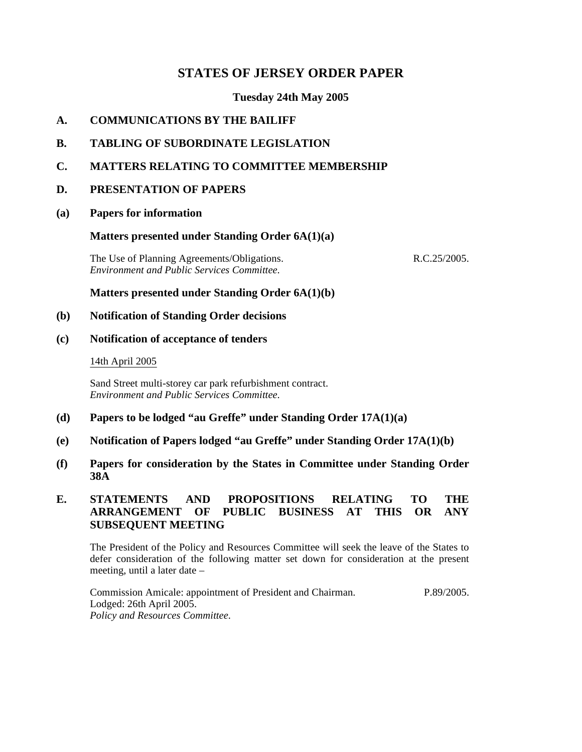# **STATES OF JERSEY ORDER PAPER**

# **Tuesday 24th May 2005**

# **A. COMMUNICATIONS BY THE BAILIFF**

- **B. TABLING OF SUBORDINATE LEGISLATION**
- **C. MATTERS RELATING TO COMMITTEE MEMBERSHIP**

## **D. PRESENTATION OF PAPERS**

**(a) Papers for information**

## **Matters presented under Standing Order 6A(1)(a)**

The Use of Planning Agreements/Obligations. *Environment and Public Services Committee.*

R.C.25/2005.

## **Matters presented under Standing Order 6A(1)(b)**

## **(b) Notification of Standing Order decisions**

## **(c) Notification of acceptance of tenders**

### 14th April 2005

Sand Street multi-storey car park refurbishment contract. *Environment and Public Services Committee.*

- **(d) Papers to be lodged "au Greffe" under Standing Order 17A(1)(a)**
- **(e) Notification of Papers lodged "au Greffe" under Standing Order 17A(1)(b)**
- **(f) Papers for consideration by the States in Committee under Standing Order 38A**

# **E. STATEMENTS AND PROPOSITIONS RELATING TO THE ARRANGEMENT OF PUBLIC BUSINESS AT THIS OR ANY SUBSEQUENT MEETING**

The President of the Policy and Resources Committee will seek the leave of the States to defer consideration of the following matter set down for consideration at the present meeting, until a later date –

Commission Amicale: appointment of President and Chairman. Lodged: 26th April 2005. *Policy and Resources Committee.* P.89/2005.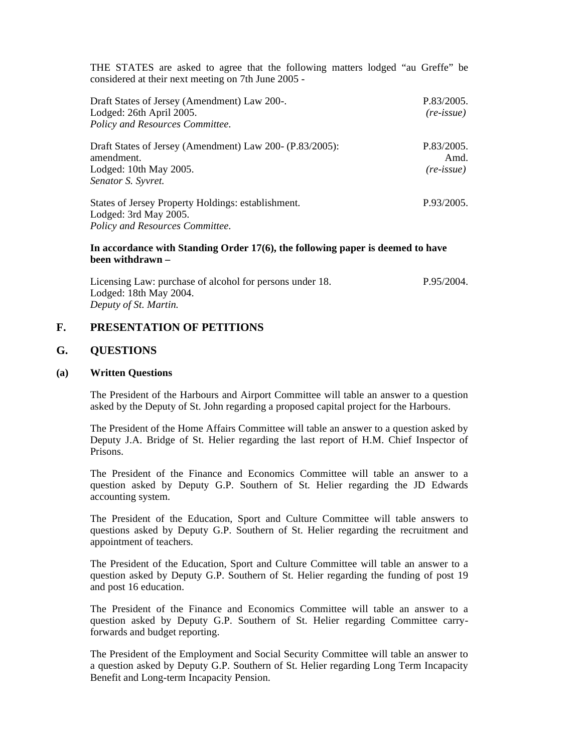THE STATES are asked to agree that the following matters lodged "au Greffe" be considered at their next meeting on 7th June 2005 -

| Draft States of Jersey (Amendment) Law 200-.<br>Lodged: 26th April 2005.<br>Policy and Resources Committee.<br>Draft States of Jersey (Amendment) Law 200- (P.83/2005):<br>amendment.<br>Lodged: 10th May 2005.<br>Senator S. Syvret. | P.83/2005.<br>$(re\text{-}issue)$<br>P.83/2005.<br>Amd.<br>(re-issue) |                                                                             |            |
|---------------------------------------------------------------------------------------------------------------------------------------------------------------------------------------------------------------------------------------|-----------------------------------------------------------------------|-----------------------------------------------------------------------------|------------|
|                                                                                                                                                                                                                                       |                                                                       | States of Jersey Property Holdings: establishment.<br>Lodged: 3rd May 2005. | P.93/2005. |

*Policy and Resources Committee.*

#### **In accordance with Standing Order 17(6), the following paper is deemed to have been withdrawn –**

Licensing Law: purchase of alcohol for persons under 18. Lodged: 18th May 2004. *Deputy of St. Martin.* P.95/2004.

## **F. PRESENTATION OF PETITIONS**

## **G. QUESTIONS**

### **(a) Written Questions**

The President of the Harbours and Airport Committee will table an answer to a question asked by the Deputy of St. John regarding a proposed capital project for the Harbours.

The President of the Home Affairs Committee will table an answer to a question asked by Deputy J.A. Bridge of St. Helier regarding the last report of H.M. Chief Inspector of Prisons.

The President of the Finance and Economics Committee will table an answer to a question asked by Deputy G.P. Southern of St. Helier regarding the JD Edwards accounting system.

The President of the Education, Sport and Culture Committee will table answers to questions asked by Deputy G.P. Southern of St. Helier regarding the recruitment and appointment of teachers.

The President of the Education, Sport and Culture Committee will table an answer to a question asked by Deputy G.P. Southern of St. Helier regarding the funding of post 19 and post 16 education.

The President of the Finance and Economics Committee will table an answer to a question asked by Deputy G.P. Southern of St. Helier regarding Committee carryforwards and budget reporting.

The President of the Employment and Social Security Committee will table an answer to a question asked by Deputy G.P. Southern of St. Helier regarding Long Term Incapacity Benefit and Long-term Incapacity Pension.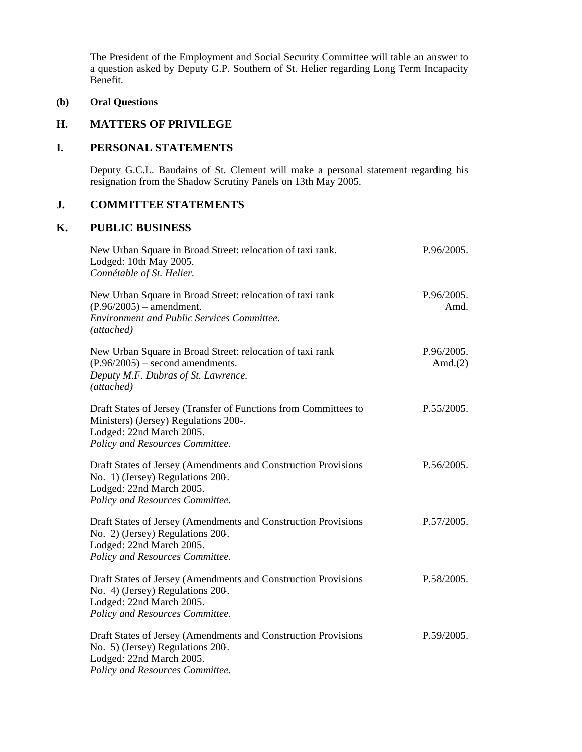The President of the Employment and Social Security Committee will table an answer to a question asked by Deputy G.P. Southern of St. Helier regarding Long Term Incapacity Benefit.

## **(b) Oral Questions**

## **H. MATTERS OF PRIVILEGE**

# **I. PERSONAL STATEMENTS**

Deputy G.C.L. Baudains of St. Clement will make a personal statement regarding his resignation from the Shadow Scrutiny Panels on 13th May 2005.

# **J. COMMITTEE STATEMENTS**

## **K. PUBLIC BUSINESS**

| New Urban Square in Broad Street: relocation of taxi rank.<br>Lodged: 10th May 2005.<br>Connétable of St. Helier.                                                        | P.96/2005.               |
|--------------------------------------------------------------------------------------------------------------------------------------------------------------------------|--------------------------|
| New Urban Square in Broad Street: relocation of taxi rank<br>$(P.96/2005)$ – amendment.<br><b>Environment and Public Services Committee.</b><br>(attached)               | P.96/2005.<br>Amd.       |
| New Urban Square in Broad Street: relocation of taxi rank<br>$(P.96/2005)$ – second amendments.<br>Deputy M.F. Dubras of St. Lawrence.<br>(attached)                     | P.96/2005.<br>Amd. $(2)$ |
| Draft States of Jersey (Transfer of Functions from Committees to<br>Ministers) (Jersey) Regulations 200-.<br>Lodged: 22nd March 2005.<br>Policy and Resources Committee. | P.55/2005.               |
| Draft States of Jersey (Amendments and Construction Provisions<br>No. 1) (Jersey) Regulations 200.<br>Lodged: 22nd March 2005.<br>Policy and Resources Committee.        | P.56/2005.               |
| Draft States of Jersey (Amendments and Construction Provisions<br>No. 2) (Jersey) Regulations 200.<br>Lodged: 22nd March 2005.<br>Policy and Resources Committee.        | P.57/2005.               |
| Draft States of Jersey (Amendments and Construction Provisions<br>No. 4) (Jersey) Regulations 200.<br>Lodged: 22nd March 2005.<br>Policy and Resources Committee.        | P.58/2005.               |
| Draft States of Jersey (Amendments and Construction Provisions<br>No. 5) (Jersey) Regulations 200.<br>Lodged: 22nd March 2005.<br>Policy and Resources Committee.        | P.59/2005.               |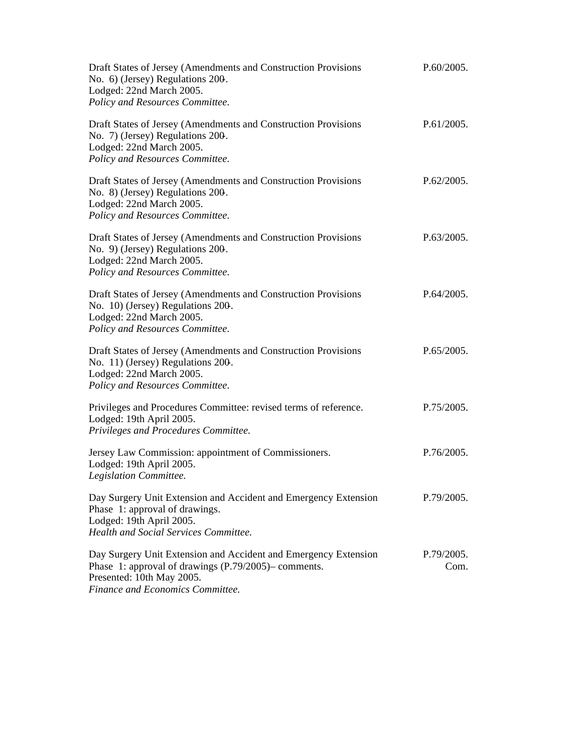| Draft States of Jersey (Amendments and Construction Provisions<br>No. 6) (Jersey) Regulations 200.<br>Lodged: 22nd March 2005.<br>Policy and Resources Committee.                        | P.60/2005.         |
|------------------------------------------------------------------------------------------------------------------------------------------------------------------------------------------|--------------------|
| Draft States of Jersey (Amendments and Construction Provisions<br>No. 7) (Jersey) Regulations 200.<br>Lodged: 22nd March 2005.<br>Policy and Resources Committee.                        | P.61/2005.         |
| Draft States of Jersey (Amendments and Construction Provisions<br>No. 8) (Jersey) Regulations 200.<br>Lodged: 22nd March 2005.<br>Policy and Resources Committee.                        | P.62/2005.         |
| Draft States of Jersey (Amendments and Construction Provisions<br>No. 9) (Jersey) Regulations 200.<br>Lodged: 22nd March 2005.<br>Policy and Resources Committee.                        | P.63/2005.         |
| Draft States of Jersey (Amendments and Construction Provisions<br>No. 10) (Jersey) Regulations 200.<br>Lodged: 22nd March 2005.<br>Policy and Resources Committee.                       | P.64/2005.         |
| Draft States of Jersey (Amendments and Construction Provisions<br>No. 11) (Jersey) Regulations 200.<br>Lodged: 22nd March 2005.<br>Policy and Resources Committee.                       | P.65/2005.         |
| Privileges and Procedures Committee: revised terms of reference.<br>Lodged: 19th April 2005.<br>Privileges and Procedures Committee.                                                     | P.75/2005.         |
| Jersey Law Commission: appointment of Commissioners.<br>Lodged: 19th April 2005.<br>Legislation Committee.                                                                               | P.76/2005.         |
| Day Surgery Unit Extension and Accident and Emergency Extension<br>Phase 1: approval of drawings.<br>Lodged: 19th April 2005.<br>Health and Social Services Committee.                   | P.79/2005.         |
| Day Surgery Unit Extension and Accident and Emergency Extension<br>Phase 1: approval of drawings (P.79/2005)– comments.<br>Presented: 10th May 2005.<br>Finance and Economics Committee. | P.79/2005.<br>Com. |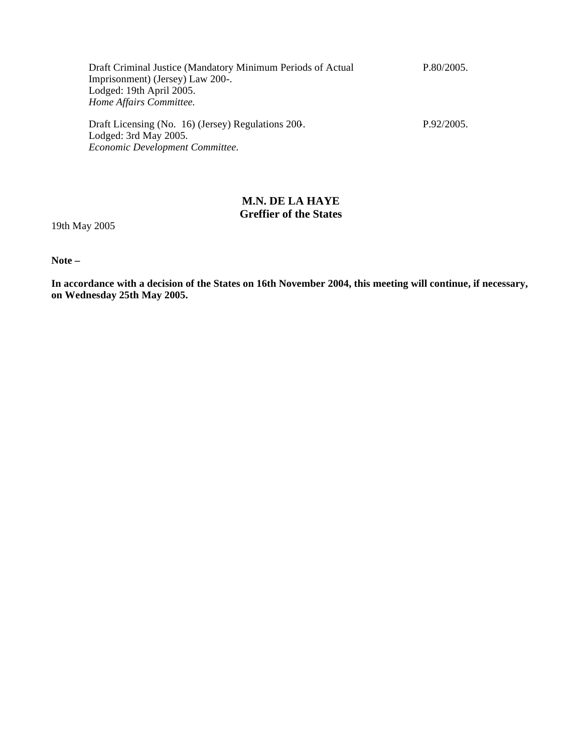| Draft Criminal Justice (Mandatory Minimum Periods of Actual | P.80/2005. |
|-------------------------------------------------------------|------------|
| Imprisonment) (Jersey) Law 200-.                            |            |
| Lodged: 19th April 2005.                                    |            |
| Home Affairs Committee.                                     |            |
|                                                             |            |
| Draft Licensing (No. 16) (Jersey) Regulations 200.          | P.92/2005. |
| Lodged: 3rd May 2005.                                       |            |
| Economic Development Committee.                             |            |

# **M.N. DE LA HAYE Greffier of the States**

19th May 2005

**Note –**

**In accordance with a decision of the States on 16th November 2004, this meeting will continue, if necessary, on Wednesday 25th May 2005.**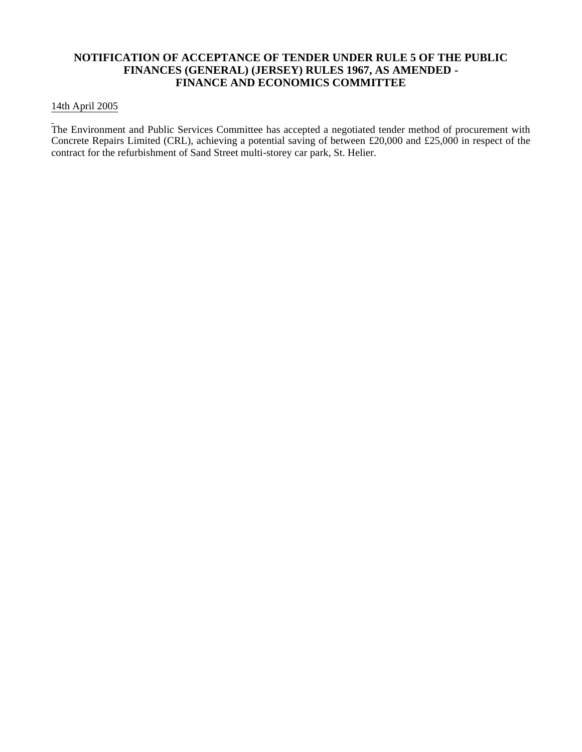# **NOTIFICATION OF ACCEPTANCE OF TENDER UNDER RULE 5 OF THE PUBLIC FINANCES (GENERAL) (JERSEY) RULES 1967, AS AMENDED - FINANCE AND ECONOMICS COMMITTEE**

## 14th April 2005

The Environment and Public Services Committee has accepted a negotiated tender method of procurement with Concrete Repairs Limited (CRL), achieving a potential saving of between £20,000 and £25,000 in respect of the contract for the refurbishment of Sand Street multi-storey car park, St. Helier.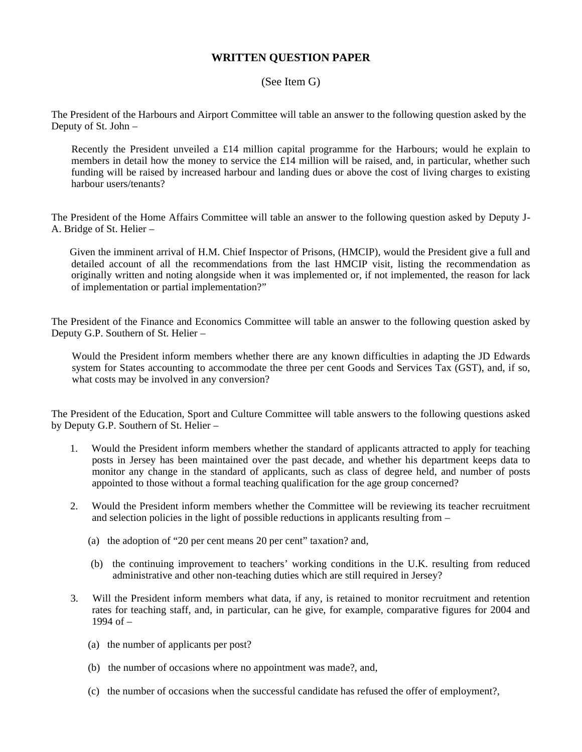# **WRITTEN QUESTION PAPER**

## (See Item G)

The President of the Harbours and Airport Committee will table an answer to the following question asked by the Deputy of St. John –

 Recently the President unveiled a £14 million capital programme for the Harbours; would he explain to members in detail how the money to service the £14 million will be raised, and, in particular, whether such funding will be raised by increased harbour and landing dues or above the cost of living charges to existing harbour users/tenants?

The President of the Home Affairs Committee will table an answer to the following question asked by Deputy J-A. Bridge of St. Helier –

 Given the imminent arrival of H.M. Chief Inspector of Prisons, (HMCIP), would the President give a full and detailed account of all the recommendations from the last HMCIP visit, listing the recommendation as originally written and noting alongside when it was implemented or, if not implemented, the reason for lack of implementation or partial implementation?"

The President of the Finance and Economics Committee will table an answer to the following question asked by Deputy G.P. Southern of St. Helier –

Would the President inform members whether there are any known difficulties in adapting the JD Edwards system for States accounting to accommodate the three per cent Goods and Services Tax (GST), and, if so, what costs may be involved in any conversion?

The President of the Education, Sport and Culture Committee will table answers to the following questions asked by Deputy G.P. Southern of St. Helier –

- 1. Would the President inform members whether the standard of applicants attracted to apply for teaching posts in Jersey has been maintained over the past decade, and whether his department keeps data to monitor any change in the standard of applicants, such as class of degree held, and number of posts appointed to those without a formal teaching qualification for the age group concerned?
- 2. Would the President inform members whether the Committee will be reviewing its teacher recruitment and selection policies in the light of possible reductions in applicants resulting from –
	- (a) the adoption of "20 per cent means 20 per cent" taxation? and,
	- (b) the continuing improvement to teachers' working conditions in the U.K. resulting from reduced administrative and other non-teaching duties which are still required in Jersey?
- 3. Will the President inform members what data, if any, is retained to monitor recruitment and retention rates for teaching staff, and, in particular, can he give, for example, comparative figures for 2004 and 1994 of –
	- (a) the number of applicants per post?
	- (b) the number of occasions where no appointment was made?, and,
	- (c) the number of occasions when the successful candidate has refused the offer of employment?,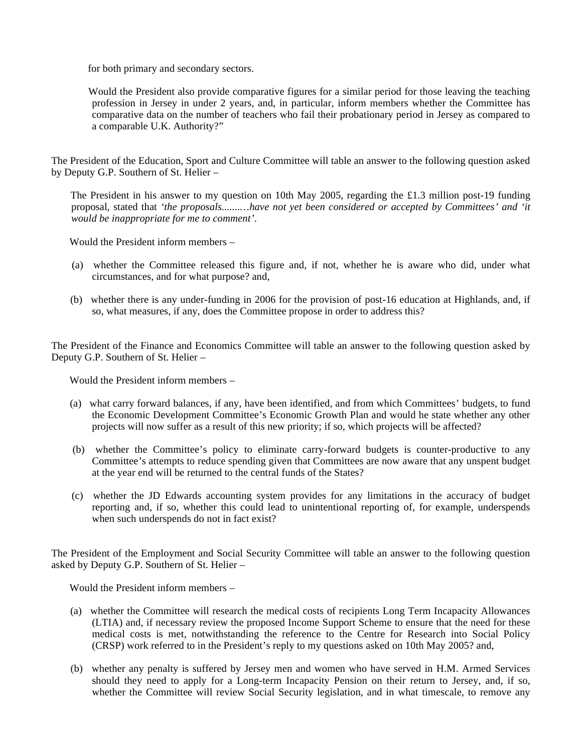for both primary and secondary sectors.

 Would the President also provide comparative figures for a similar period for those leaving the teaching profession in Jersey in under 2 years, and, in particular, inform members whether the Committee has comparative data on the number of teachers who fail their probationary period in Jersey as compared to a comparable U.K. Authority?"

The President of the Education, Sport and Culture Committee will table an answer to the following question asked by Deputy G.P. Southern of St. Helier –

The President in his answer to my question on 10th May 2005, regarding the £1.3 million post-19 funding proposal, stated that *'the proposals.......…have not yet been considered or accepted by Committees' and 'it would be inappropriate for me to comment'*.

Would the President inform members –

- (a) whether the Committee released this figure and, if not, whether he is aware who did, under what circumstances, and for what purpose? and,
- (b) whether there is any under-funding in 2006 for the provision of post-16 education at Highlands, and, if so, what measures, if any, does the Committee propose in order to address this?

The President of the Finance and Economics Committee will table an answer to the following question asked by Deputy G.P. Southern of St. Helier –

Would the President inform members –

- (a) what carry forward balances, if any, have been identified, and from which Committees' budgets, to fund the Economic Development Committee's Economic Growth Plan and would he state whether any other projects will now suffer as a result of this new priority; if so, which projects will be affected?
- (b) whether the Committee's policy to eliminate carry-forward budgets is counter-productive to any Committee's attempts to reduce spending given that Committees are now aware that any unspent budget at the year end will be returned to the central funds of the States?
- (c) whether the JD Edwards accounting system provides for any limitations in the accuracy of budget reporting and, if so, whether this could lead to unintentional reporting of, for example, underspends when such underspends do not in fact exist?

The President of the Employment and Social Security Committee will table an answer to the following question asked by Deputy G.P. Southern of St. Helier –

Would the President inform members –

- (a) whether the Committee will research the medical costs of recipients Long Term Incapacity Allowances (LTIA) and, if necessary review the proposed Income Support Scheme to ensure that the need for these medical costs is met, notwithstanding the reference to the Centre for Research into Social Policy (CRSP) work referred to in the President's reply to my questions asked on 10th May 2005? and,
- (b) whether any penalty is suffered by Jersey men and women who have served in H.M. Armed Services should they need to apply for a Long-term Incapacity Pension on their return to Jersey, and, if so, whether the Committee will review Social Security legislation, and in what timescale, to remove any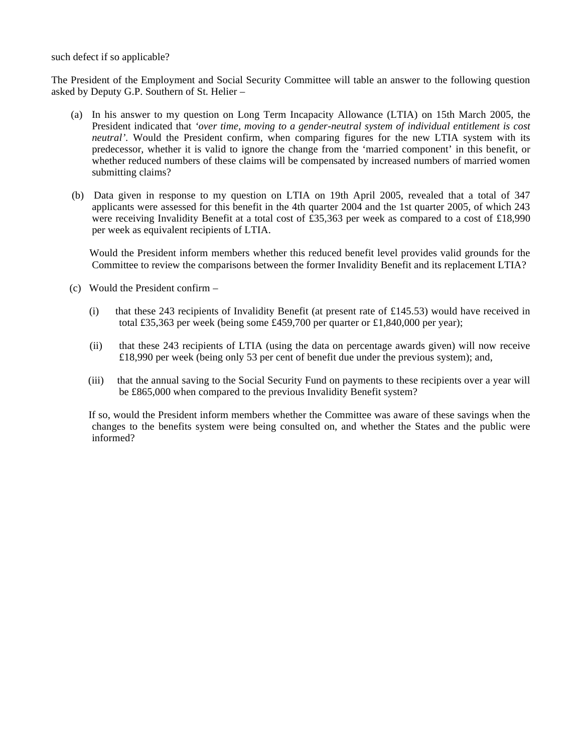such defect if so applicable?

The President of the Employment and Social Security Committee will table an answer to the following question asked by Deputy G.P. Southern of St. Helier –

- (a) In his answer to my question on Long Term Incapacity Allowance (LTIA) on 15th March 2005, the President indicated that *'over time, moving to a gender-neutral system of individual entitlement is cost neutral'.* Would the President confirm, when comparing figures for the new LTIA system with its predecessor, whether it is valid to ignore the change from the 'married component' in this benefit, or whether reduced numbers of these claims will be compensated by increased numbers of married women submitting claims?
- (b) Data given in response to my question on LTIA on 19th April 2005, revealed that a total of 347 applicants were assessed for this benefit in the 4th quarter 2004 and the 1st quarter 2005, of which 243 were receiving Invalidity Benefit at a total cost of £35,363 per week as compared to a cost of £18,990 per week as equivalent recipients of LTIA.

 Would the President inform members whether this reduced benefit level provides valid grounds for the Committee to review the comparisons between the former Invalidity Benefit and its replacement LTIA?

- (c) Would the President confirm
	- (i) that these 243 recipients of Invalidity Benefit (at present rate of £145.53) would have received in total £35,363 per week (being some £459,700 per quarter or £1,840,000 per year);
	- (ii) that these 243 recipients of LTIA (using the data on percentage awards given) will now receive £18,990 per week (being only 53 per cent of benefit due under the previous system); and,
	- (iii) that the annual saving to the Social Security Fund on payments to these recipients over a year will be £865,000 when compared to the previous Invalidity Benefit system?

 If so, would the President inform members whether the Committee was aware of these savings when the changes to the benefits system were being consulted on, and whether the States and the public were informed?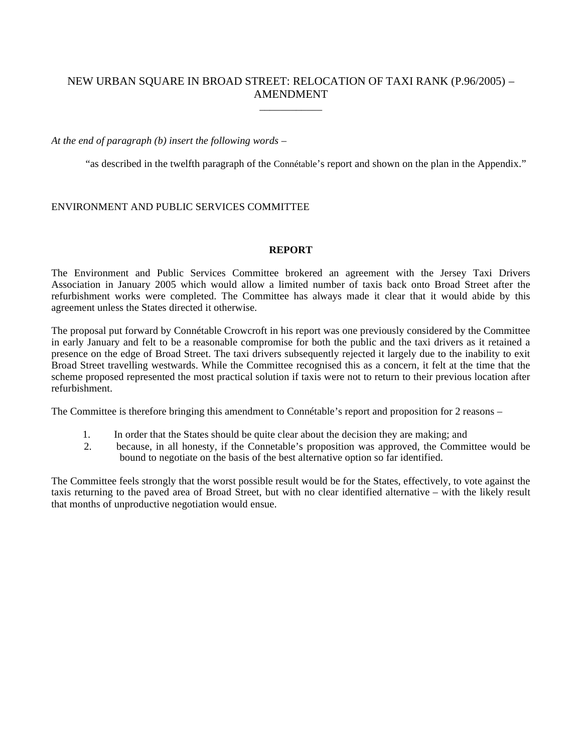## NEW URBAN SQUARE IN BROAD STREET: RELOCATION OF TAXI RANK (P.96/2005) – AMENDMENT \_\_\_\_\_\_\_\_\_\_\_\_

## *At the end of paragraph (b) insert the following words –*

"as described in the twelfth paragraph of the Connétable's report and shown on the plan in the Appendix."

## ENVIRONMENT AND PUBLIC SERVICES COMMITTEE

### **REPORT**

The Environment and Public Services Committee brokered an agreement with the Jersey Taxi Drivers Association in January 2005 which would allow a limited number of taxis back onto Broad Street after the refurbishment works were completed. The Committee has always made it clear that it would abide by this agreement unless the States directed it otherwise.

The proposal put forward by Connétable Crowcroft in his report was one previously considered by the Committee in early January and felt to be a reasonable compromise for both the public and the taxi drivers as it retained a presence on the edge of Broad Street. The taxi drivers subsequently rejected it largely due to the inability to exit Broad Street travelling westwards. While the Committee recognised this as a concern, it felt at the time that the scheme proposed represented the most practical solution if taxis were not to return to their previous location after refurbishment.

The Committee is therefore bringing this amendment to Connétable's report and proposition for 2 reasons –

- 1. In order that the States should be quite clear about the decision they are making; and
- 2. because, in all honesty, if the Connetable's proposition was approved, the Committee would be bound to negotiate on the basis of the best alternative option so far identified.

The Committee feels strongly that the worst possible result would be for the States, effectively, to vote against the taxis returning to the paved area of Broad Street, but with no clear identified alternative – with the likely result that months of unproductive negotiation would ensue.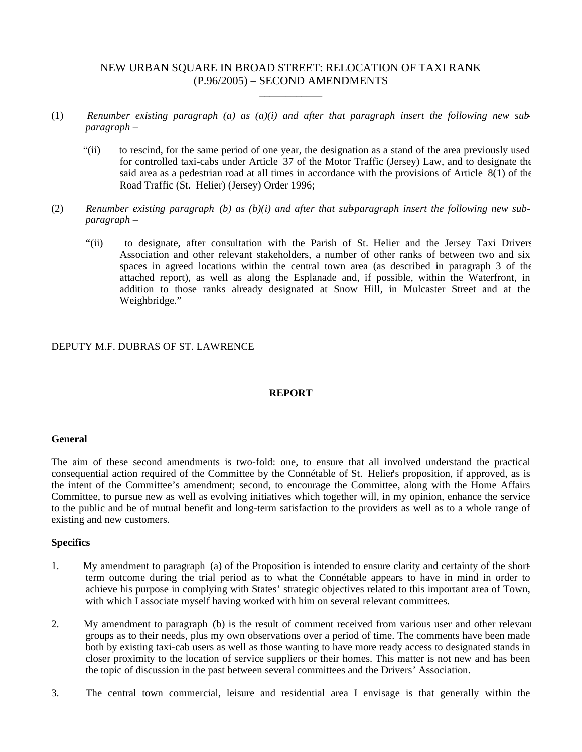## NEW URBAN SQUARE IN BROAD STREET: RELOCATION OF TAXI RANK (P.96/2005) – SECOND AMENDMENTS

\_\_\_\_\_\_\_\_\_\_\_\_

- (1) *Renumber existing paragraph (a) as (a)(i) and after that paragraph insert the following new subparagraph –*
	- "(ii) to rescind, for the same period of one year, the designation as a stand of the area previously used for controlled taxi-cabs under Article 37 of the Motor Traffic (Jersey) Law, and to designate the said area as a pedestrian road at all times in accordance with the provisions of Article 8(1) of the Road Traffic (St. Helier) (Jersey) Order 1996;
- (2) *Renumber existing paragraph (b) as (b)(i) and after that sub-paragraph insert the following new subparagraph –*
	- "(ii) to designate, after consultation with the Parish of St. Helier and the Jersey Taxi Drivers Association and other relevant stakeholders, a number of other ranks of between two and six spaces in agreed locations within the central town area (as described in paragraph 3 of the attached report), as well as along the Esplanade and, if possible, within the Waterfront, in addition to those ranks already designated at Snow Hill, in Mulcaster Street and at the Weighbridge."

### DEPUTY M.F. DUBRAS OF ST. LAWRENCE

### **REPORT**

#### **General**

The aim of these second amendments is two-fold: one, to ensure that all involved understand the practical consequential action required of the Committee by the Connétable of St. Helier's proposition, if approved, as is the intent of the Committee's amendment; second, to encourage the Committee, along with the Home Affairs Committee, to pursue new as well as evolving initiatives which together will, in my opinion, enhance the service to the public and be of mutual benefit and long-term satisfaction to the providers as well as to a whole range of existing and new customers.

### **Specifics**

- 1. My amendment to paragraph (a) of the Proposition is intended to ensure clarity and certainty of the shortterm outcome during the trial period as to what the Connétable appears to have in mind in order to achieve his purpose in complying with States' strategic objectives related to this important area of Town, with which I associate myself having worked with him on several relevant committees.
- 2. My amendment to paragraph (b) is the result of comment received from various user and other relevant groups as to their needs, plus my own observations over a period of time. The comments have been made both by existing taxi-cab users as well as those wanting to have more ready access to designated stands in closer proximity to the location of service suppliers or their homes. This matter is not new and has been the topic of discussion in the past between several committees and the Drivers' Association.
- 3. The central town commercial, leisure and residential area I envisage is that generally within the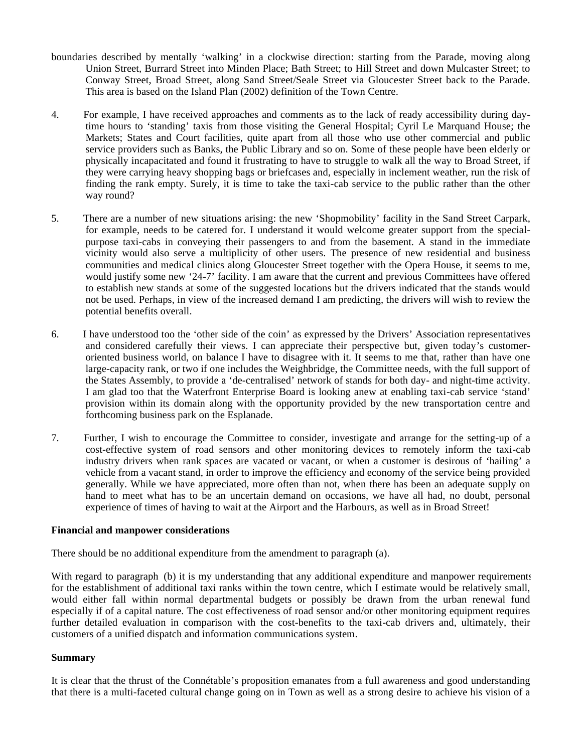- boundaries described by mentally 'walking' in a clockwise direction: starting from the Parade, moving along Union Street, Burrard Street into Minden Place; Bath Street; to Hill Street and down Mulcaster Street; to Conway Street, Broad Street, along Sand Street/Seale Street via Gloucester Street back to the Parade. This area is based on the Island Plan (2002) definition of the Town Centre.
- 4. For example, I have received approaches and comments as to the lack of ready accessibility during daytime hours to 'standing' taxis from those visiting the General Hospital; Cyril Le Marquand House; the Markets; States and Court facilities, quite apart from all those who use other commercial and public service providers such as Banks, the Public Library and so on. Some of these people have been elderly or physically incapacitated and found it frustrating to have to struggle to walk all the way to Broad Street, if they were carrying heavy shopping bags or briefcases and, especially in inclement weather, run the risk of finding the rank empty. Surely, it is time to take the taxi-cab service to the public rather than the other way round?
- 5. There are a number of new situations arising: the new 'Shopmobility' facility in the Sand Street Carpark, for example, needs to be catered for. I understand it would welcome greater support from the specialpurpose taxi-cabs in conveying their passengers to and from the basement. A stand in the immediate vicinity would also serve a multiplicity of other users. The presence of new residential and business communities and medical clinics along Gloucester Street together with the Opera House, it seems to me, would justify some new '24-7' facility. I am aware that the current and previous Committees have offered to establish new stands at some of the suggested locations but the drivers indicated that the stands would not be used. Perhaps, in view of the increased demand I am predicting, the drivers will wish to review the potential benefits overall.
- 6. I have understood too the 'other side of the coin' as expressed by the Drivers' Association representatives and considered carefully their views. I can appreciate their perspective but, given today's customeroriented business world, on balance I have to disagree with it. It seems to me that, rather than have one large-capacity rank, or two if one includes the Weighbridge, the Committee needs, with the full support of the States Assembly, to provide a 'de-centralised' network of stands for both day- and night-time activity. I am glad too that the Waterfront Enterprise Board is looking anew at enabling taxi-cab service 'stand' provision within its domain along with the opportunity provided by the new transportation centre and forthcoming business park on the Esplanade.
- 7. Further, I wish to encourage the Committee to consider, investigate and arrange for the setting-up of a cost-effective system of road sensors and other monitoring devices to remotely inform the taxi-cab industry drivers when rank spaces are vacated or vacant, or when a customer is desirous of 'hailing' a vehicle from a vacant stand, in order to improve the efficiency and economy of the service being provided generally. While we have appreciated, more often than not, when there has been an adequate supply on hand to meet what has to be an uncertain demand on occasions, we have all had, no doubt, personal experience of times of having to wait at the Airport and the Harbours, as well as in Broad Street!

#### **Financial and manpower considerations**

There should be no additional expenditure from the amendment to paragraph (a).

With regard to paragraph (b) it is my understanding that any additional expenditure and manpower requirements for the establishment of additional taxi ranks within the town centre, which I estimate would be relatively small, would either fall within normal departmental budgets or possibly be drawn from the urban renewal fund especially if of a capital nature. The cost effectiveness of road sensor and/or other monitoring equipment requires further detailed evaluation in comparison with the cost-benefits to the taxi-cab drivers and, ultimately, their customers of a unified dispatch and information communications system.

### **Summary**

It is clear that the thrust of the Connétable's proposition emanates from a full awareness and good understanding that there is a multi-faceted cultural change going on in Town as well as a strong desire to achieve his vision of a